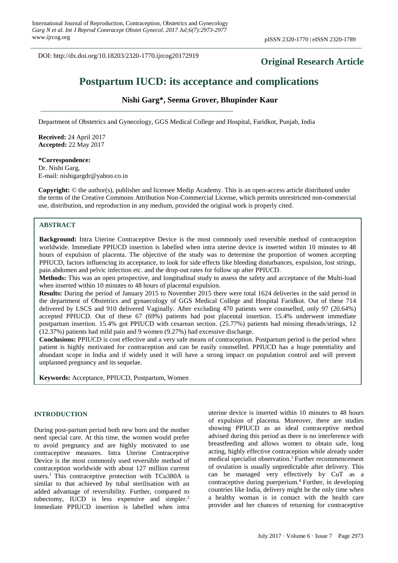DOI: http://dx.doi.org/10.18203/2320-1770.ijrcog20172919

# **Original Research Article**

# **Postpartum IUCD: its acceptance and complications**

# **Nishi Garg\*, Seema Grover, Bhupinder Kaur**

Department of Obstetrics and Gynecology, GGS Medical College and Hospital, Faridkot, Punjab, India

**Received:** 24 April 2017 **Accepted:** 22 May 2017

# **\*Correspondence:**

Dr. Nishi Garg, E-mail: nishigargdr@yahoo.co.in

**Copyright:** © the author(s), publisher and licensee Medip Academy. This is an open-access article distributed under the terms of the Creative Commons Attribution Non-Commercial License, which permits unrestricted non-commercial use, distribution, and reproduction in any medium, provided the original work is properly cited.

# **ABSTRACT**

**Background:** Intra Uterine Contraceptive Device is the most commonly used reversible method of contraception worldwide. Immediate PPIUCD insertion is labelled when intra uterine device is inserted within 10 minutes to 48 hours of expulsion of placenta. The objective of the study was to determine the proportion of women accepting PPIUCD, factors influencing its acceptance, to look for side effects like bleeding disturbances, expulsion, lost strings, pain abdomen and pelvic infection etc. and the drop-out rates for follow up after PPIUCD.

**Methods:** This was an open prospective, and longitudinal study to assess the safety and acceptance of the Multi-load when inserted within 10 minutes to 48 hours of placental expulsion.

**Results:** During the period of January 2015 to November 2015 there were total 1624 deliveries in the said period in the department of Obstetrics and gynaecology of GGS Medical College and Hospital Faridkot. Out of these 714 delivered by LSCS and 910 delivered Vaginally. After excluding 470 patients were counselled, only 97 (20.64%) accepted PPIUCD. Out of these 67 (69%) patients had post placental insertion. 15.4% underwent immediate postpartum insertion. 15.4% got PPIUCD with cesarean section. (25.77%) patients had missing threads/strings, 12 (12.37%) patients had mild pain and 9 women (9.27%) had excessive discharge.

**Conclusions:** PPIUCD is cost effective and a very safe means of contraception. Postpartum period is the period when patient is highly motivated for contraception and can be easily counselled. PPIUCD has a huge potentiality and abundant scope in India and if widely used it will have a strong impact on population control and will prevent unplanned pregnancy and its sequelae.

**Keywords:** Acceptance, PPIUCD, Postpartum, Women

# **INTRODUCTION**

During post-partum period both new born and the mother need special care. At this time, the women would prefer to avoid pregnancy and are highly motivated to use contraceptive measures. Intra Uterine Contraceptive Device is the most commonly used reversible method of contraception worldwide with about 127 million current users.<sup>1</sup> This contraceptive protection with TCu380A is similar to that achieved by tubal sterilisation with an added advantage of reversibility. Further, compared to tubectomy, IUCD is less expensive and simpler.<sup>2</sup> Immediate PPIUCD insertion is labelled when intra uterine device is inserted within 10 minutes to 48 hours of expulsion of placenta. Moreover, there are studies showing PPIUCD as an ideal contraceptive method advised during this period as there is no interference with breastfeeding and allows women to obtain safe, long acting, highly effective contraception while already under medical specialist observation.<sup>3</sup> Further recommencement of ovulation is usually unpredictable after delivery. This can be managed very effectively by CuT as a contraceptive during puerperium.<sup>4</sup> Further, in developing countries like India, delivery might be the only time when a healthy woman is in contact with the health care provider and her chances of returning for contraceptive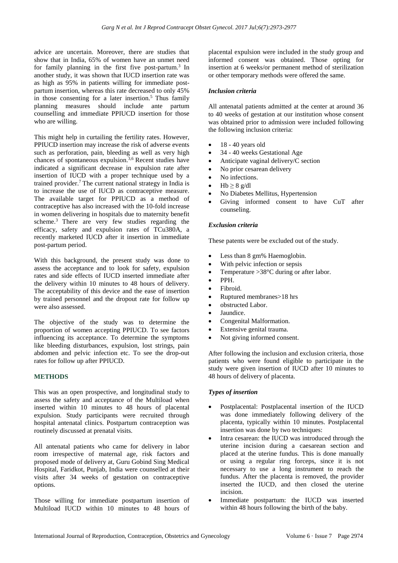advice are uncertain. Moreover, there are studies that show that in India, 65% of women have an unmet need for family planning in the first five post-partum.<sup>3</sup> In another study, it was shown that IUCD insertion rate was as high as 95% in patients willing for immediate postpartum insertion, whereas this rate decreased to only 45% in those consenting for a later insertion.<sup>5</sup> Thus family planning measures should include ante partum counselling and immediate PPIUCD insertion for those who are willing.

This might help in curtailing the fertility rates. However, PPIUCD insertion may increase the risk of adverse events such as perforation, pain, bleeding as well as very high chances of spontaneous expulsion.3,6 Recent studies have indicated a significant decrease in expulsion rate after insertion of IUCD with a proper technique used by a trained provider.<sup>7</sup> The current national strategy in India is to increase the use of IUCD as contraceptive measure. The available target for PPIUCD as a method of contraceptive has also increased with the 10-fold increase in women delivering in hospitals due to maternity benefit scheme.<sup>3</sup> There are very few studies regarding the efficacy, safety and expulsion rates of TCu380A, a recently marketed IUCD after it insertion in immediate post-partum period.

With this background, the present study was done to assess the acceptance and to look for safety, expulsion rates and side effects of IUCD inserted immediate after the delivery within 10 minutes to 48 hours of delivery. The acceptability of this device and the ease of insertion by trained personnel and the dropout rate for follow up were also assessed.

The objective of the study was to determine the proportion of women accepting PPIUCD. To see factors influencing its acceptance. To determine the symptoms like bleeding disturbances, expulsion, lost strings, pain abdomen and pelvic infection etc. To see the drop-out rates for follow up after PPIUCD.

# **METHODS**

This was an open prospective, and longitudinal study to assess the safety and acceptance of the Multiload when inserted within 10 minutes to 48 hours of placental expulsion. Study participants were recruited through hospital antenatal clinics. Postpartum contraception was routinely discussed at prenatal visits.

All antenatal patients who came for delivery in labor room irrespective of maternal age, risk factors and proposed mode of delivery at, Guru Gobind Sing Medical Hospital, Faridkot, Punjab, India were counselled at their visits after 34 weeks of gestation on contraceptive options.

Those willing for immediate postpartum insertion of Multiload IUCD within 10 minutes to 48 hours of placental expulsion were included in the study group and informed consent was obtained. Those opting for insertion at 6 weeks/or permanent method of sterilization or other temporary methods were offered the same.

## *Inclusion criteria*

All antenatal patients admitted at the center at around 36 to 40 weeks of gestation at our institution whose consent was obtained prior to admission were included following the following inclusion criteria:

- 18 40 years old
- 34 40 weeks Gestational Age
- Anticipate vaginal delivery/C section
- No prior cesarean delivery
- No infections.
- Hb >  $8 \text{ g/d}$
- No Diabetes Mellitus, Hypertension
- Giving informed consent to have CuT after counseling.

#### *Exclusion criteria*

These patents were be excluded out of the study.

- Less than 8 gm% Haemoglobin.
- With pelvic infection or sepsis
- Temperature  $>38^{\circ}$ C during or after labor.
- PPH.
- Fibroid.
- Ruptured membranes>18 hrs
- obstructed Labor.
- Jaundice.
- Congenital Malformation.
- Extensive genital trauma.
- Not giving informed consent.

After following the inclusion and exclusion criteria, those patients who were found eligible to participate in the study were given insertion of IUCD after 10 minutes to 48 hours of delivery of placenta.

# *Types of insertion*

- Postplacental: Postplacental insertion of the IUCD was done immediately following delivery of the placenta, typically within 10 minutes. Postplacental insertion was done by two techniques:
- Intra cesarean: the IUCD was introduced through the uterine incision during a caesarean section and placed at the uterine fundus. This is done manually or using a regular ring forceps, since it is not necessary to use a long instrument to reach the fundus. After the placenta is removed, the provider inserted the IUCD, and then closed the uterine incision.
- Immediate postpartum: the IUCD was inserted within 48 hours following the birth of the baby.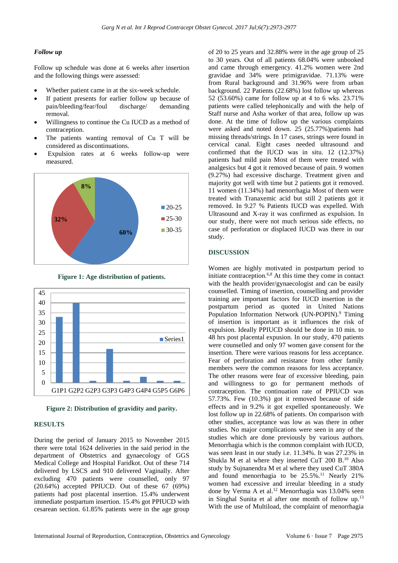# *Follow up*

Follow up schedule was done at 6 weeks after insertion and the following things were assessed:

- Whether patient came in at the six-week schedule.
- If patient presents for earlier follow up because of pain/bleeding/fear/foul discharge/ demanding removal.
- Willingness to continue the Cu IUCD as a method of contraception.
- The patients wanting removal of Cu T will be considered as discontinuations.
- Expulsion rates at 6 weeks follow-up were measured.



**Figure 1: Age distribution of patients.**



**Figure 2: Distribution of gravidity and parity.**

#### **RESULTS**

During the period of January 2015 to November 2015 there were total 1624 deliveries in the said period in the department of Obstetrics and gynaecology of GGS Medical College and Hospital Faridkot. Out of these 714 delivered by LSCS and 910 delivered Vaginally. After excluding 470 patients were counselled, only 97 (20.64%) accepted PPIUCD. Out of these 67 (69%) patients had post placental insertion. 15.4% underwent immediate postpartum insertion. 15.4% got PPIUCD with cesarean section. 61.85% patients were in the age group of 20 to 25 years and 32.88% were in the age group of 25 to 30 years. Out of all patients 68.04% were unbooked and came through emergency. 41.2% women were 2nd gravidae and 34% were primigravidae. 71.13% were from Rural background and 31.96% were from urban background. 22 Patients (22.68%) lost follow up whereas 52 (53.60%) came for follow up at 4 to 6 wks. 23.71% patients were called telephonically and with the help of Staff nurse and Asha worker of that area, follow up was done. At the time of follow up the various complaints were asked and noted down. 25 (25.77%)patients had missing threads/strings. In 17 cases, strings were found in cervical canal. Eight cases needed ultrasound and confirmed that the IUCD was in situ. 12 (12.37%) patients had mild pain Most of them were treated with analgesics but 4 got it removed because of pain. 9 women (9.27%) had excessive discharge. Treatment given and majority got well with time but 2 patients got it removed. 11 women (11.34%) had menorrhagia Most of them were treated with Tranaxemic acid but still 2 patients got it removed. In 9.27 % Patients IUCD was expelled. With Ultrasound and X-ray it was confirmed as expulsion. In our study, there were not much serious side effects, no case of perforation or displaced IUCD was there in our study.

### **DISCUSSION**

Women are highly motivated in postpartum period to initiate contraception.6,8 At this time they come in contact with the health provider/gynaecologist and can be easily counselled. Timing of insertion, counselling and provider training are important factors for IUCD insertion in the postpartum period as quoted in United Nations Population Information Network (UN-POPIN).<sup>9</sup> Timing of insertion is important as it influences the risk of expulsion. Ideally PPIUCD should be done in 10 min. to 48 hrs post placental expusion. In our study, 470 patients were counselled and only 97 women gave consent for the insertion. There were various reasons for less acceptance. Fear of perforation and resistance from other family members were the common reasons for less acceptance. The other reasons were fear of excessive bleeding, pain and willingness to go for permanent methods of contraception. The continuation rate of PPIUCD was 57.73%. Few (10.3%) got it removed because of side effects and in 9.2% it got expelled spontaneously. We lost follow up in 22.68% of patients. On comparison with other studies, acceptance was low as was there in other studies. No major complications were seen in any of the studies which are done previously by various authors. Menorrhagia which is the common complaint with IUCD, was seen least in our study i.e. 11.34%. It was 27.23% in Shukla M et al where they inserted CuT 200 B.<sup>10</sup> Also study by Sujnanendra M et al where they used CuT 380A and found menorrhagia to be 25.5%.<sup>11</sup> Nearly 21% women had excessive and irreular bleeding in a study done by Verma A et al.<sup>12</sup> Menorrhagia was 13.04% seen in Singhal Sunita et al after one month of follow up.<sup>13</sup> With the use of Multiload, the complaint of menorrhagia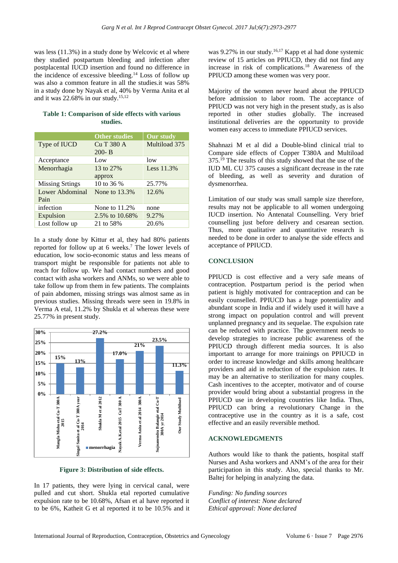was less (11.3%) in a study done by Welcovic et al where they studied postpartum bleeding and infection after postplacental IUCD insertion and found no difference in the incidence of excessive bleeding. <sup>14</sup> Loss of follow up was also a common feature in all the studies.it was 58% in a study done by Nayak et al, 40% by Verma Anita et al and it was  $22.68\%$  in our study.<sup>15,12</sup>

| Table 1: Comparison of side effects with various |  |  |  |  |  |  |
|--------------------------------------------------|--|--|--|--|--|--|
| studies.                                         |  |  |  |  |  |  |

|                        | <b>Other studies</b> | <b>Our study</b> |  |
|------------------------|----------------------|------------------|--|
| Type of IUCD           | Cu T 380 A           | Multiload 375    |  |
|                        | $200 - B$            |                  |  |
| Acceptance             | Low                  | low              |  |
| Menorrhagia            | 13 to 27%            | Less $11.3%$     |  |
|                        | approx               |                  |  |
| <b>Missing Srtings</b> | 10 to 36 %           | 25.77%           |  |
| Lower Abdominal        | None to 13.3%        | 12.6%            |  |
| Pain                   |                      |                  |  |
| infection              | None to $11.2\%$     | none             |  |
| Expulsion              | 2.5% to 10.68%       | 9.27%            |  |
| Lost follow up         | 21 to 58%            | 20.6%            |  |

In a study done by Kittur et al, they had 80% patients reported for follow up at 6 weeks. <sup>7</sup> The lower levels of education, low socio-economic status and less means of transport might be responsible for patients not able to reach for follow up. We had contact numbers and good contact with asha workers and ANMs, so we were able to take follow up from them in few patients. The complaints of pain abdomen, missing strings was almost same as in previous studies. Missing threads were seen in 19.8% in Verma A etal, 11.2% by Shukla et al whereas these were 25.77% in present study.



**Figure 3: Distribution of side effects.**

In 17 patients, they were lying in cervical canal, were pulled and cut short. Shukla etal reported cumulative expulsion rate to be 10.68%, Afsan et al have reported it to be 6%, Katheit G et al reported it to be 10.5% and it was 9.27% in our study.<sup>16,17</sup> Kapp et al had done systemic review of 15 articles on PPIUCD, they did not find any increase in risk of complications.<sup>18</sup> Awareness of the PPIUCD among these women was very poor.

Majority of the women never heard about the PPIUCD before admission to labor room. The acceptance of PPIUCD was not very high in the present study, as is also reported in other studies globally. The increased institutional deliveries are the opportunity to provide women easy access to immediate PPIUCD services.

Shahnazi M et al did a Double-blind clinical trial to Compare side effects of Copper T380A and Multiload 375.<sup>19</sup> The results of this study showed that the use of the IUD ML CU 375 causes a significant decrease in the rate of bleeding, as well as severity and duration of dysmenorrhea.

Limitation of our study was small sample size therefore, results may not be applicable to all women undergoing IUCD insertion. No Antenatal Counselling. Very brief counselling just before delivery and cesarean section. Thus, more qualitative and quantitative research is needed to be done in order to analyse the side effects and acceptance of PPIUCD.

# **CONCLUSION**

PPIUCD is cost effective and a very safe means of contraception. Postpartum period is the period when patient is highly motivated for contraception and can be easily counselled. PPIUCD has a huge potentiality and abundant scope in India and if widely used it will have a strong impact on population control and will prevent unplanned pregnancy and its sequelae. The expulsion rate can be reduced with practice. The government needs to develop strategies to increase public awareness of the PPIUCD through different media sources. It is also important to arrange for more trainings on PPIUCD in order to increase knowledge and skills among healthcare providers and aid in reduction of the expulsion rates. It may be an alternative to sterilization for many couples. Cash incentives to the accepter, motivator and of course provider would bring about a substantial progress in the PPIUCD use in developing countries like India. Thus, PPIUCD can bring a revolutionary Change in the contraceptive use in the country as it is a safe, cost effective and an easily reversible method.

#### **ACKNOWLEDGMENTS**

Authors would like to thank the patients, hospital staff Nurses and Asha workers and ANM's of the area for their participation in this study. Also, special thanks to Mr. Baltej for helping in analyzing the data.

*Funding: No funding sources Conflict of interest: None declared Ethical approval: None declared*